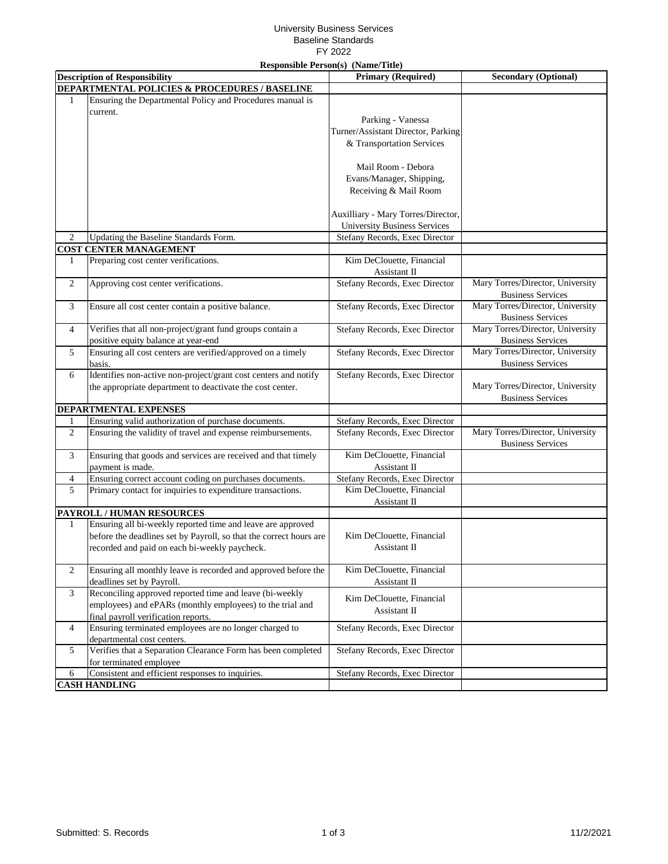## University Business Services Baseline Standards FY 2022

|                              |                                                                    | <b>Responsible Person(s)</b> (Name/Title) |                                  |
|------------------------------|--------------------------------------------------------------------|-------------------------------------------|----------------------------------|
|                              | <b>Description of Responsibility</b>                               | <b>Primary (Required)</b>                 | <b>Secondary (Optional)</b>      |
|                              | DEPARTMENTAL POLICIES & PROCEDURES / BASELINE                      |                                           |                                  |
| $\mathbf{1}$                 | Ensuring the Departmental Policy and Procedures manual is          |                                           |                                  |
|                              | current.                                                           |                                           |                                  |
|                              |                                                                    | Parking - Vanessa                         |                                  |
|                              |                                                                    | Turner/Assistant Director, Parking        |                                  |
|                              |                                                                    | & Transportation Services                 |                                  |
|                              |                                                                    |                                           |                                  |
|                              |                                                                    | Mail Room - Debora                        |                                  |
|                              |                                                                    | Evans/Manager, Shipping,                  |                                  |
|                              |                                                                    | Receiving & Mail Room                     |                                  |
|                              |                                                                    |                                           |                                  |
|                              |                                                                    |                                           |                                  |
|                              |                                                                    | Auxilliary - Mary Torres/Director,        |                                  |
|                              |                                                                    | <b>University Business Services</b>       |                                  |
| $\overline{c}$               | Updating the Baseline Standards Form.                              | Stefany Records, Exec Director            |                                  |
|                              | <b>COST CENTER MANAGEMENT</b>                                      |                                           |                                  |
| 1                            | Preparing cost center verifications.                               | Kim DeClouette, Financial                 |                                  |
|                              |                                                                    | Assistant II                              |                                  |
| 2                            | Approving cost center verifications.                               | Stefany Records, Exec Director            | Mary Torres/Director, University |
|                              |                                                                    |                                           | <b>Business Services</b>         |
| 3                            | Ensure all cost center contain a positive balance.                 | Stefany Records, Exec Director            | Mary Torres/Director, University |
|                              |                                                                    |                                           | <b>Business Services</b>         |
| $\overline{4}$               | Verifies that all non-project/grant fund groups contain a          | Stefany Records, Exec Director            | Mary Torres/Director, University |
|                              | positive equity balance at year-end                                |                                           | <b>Business Services</b>         |
|                              |                                                                    |                                           | Mary Torres/Director, University |
| 5                            | Ensuring all cost centers are verified/approved on a timely        | Stefany Records, Exec Director            |                                  |
|                              | basis.                                                             |                                           | <b>Business Services</b>         |
| 6                            | Identifies non-active non-project/grant cost centers and notify    | Stefany Records, Exec Director            |                                  |
|                              | the appropriate department to deactivate the cost center.          |                                           | Mary Torres/Director, University |
|                              |                                                                    |                                           | <b>Business Services</b>         |
| <b>DEPARTMENTAL EXPENSES</b> |                                                                    |                                           |                                  |
| $\mathbf{1}$                 | Ensuring valid authorization of purchase documents.                | Stefany Records, Exec Director            |                                  |
| $\overline{c}$               | Ensuring the validity of travel and expense reimbursements.        | Stefany Records, Exec Director            | Mary Torres/Director, University |
|                              |                                                                    |                                           | <b>Business Services</b>         |
| 3                            | Ensuring that goods and services are received and that timely      | Kim DeClouette, Financial                 |                                  |
|                              | payment is made.                                                   | Assistant II                              |                                  |
| $\overline{4}$               | Ensuring correct account coding on purchases documents.            | Stefany Records, Exec Director            |                                  |
| $\mathfrak{S}$               | Primary contact for inquiries to expenditure transactions.         | Kim DeClouette, Financial                 |                                  |
|                              |                                                                    | Assistant II                              |                                  |
|                              | PAYROLL / HUMAN RESOURCES                                          |                                           |                                  |
|                              | Ensuring all bi-weekly reported time and leave are approved        |                                           |                                  |
| $\mathbf{1}$                 |                                                                    |                                           |                                  |
|                              | before the deadlines set by Payroll, so that the correct hours are | Kim DeClouette, Financial                 |                                  |
|                              | recorded and paid on each bi-weekly paycheck.                      | Assistant II                              |                                  |
|                              |                                                                    |                                           |                                  |
| 2                            | Ensuring all monthly leave is recorded and approved before the     | Kim DeClouette, Financial                 |                                  |
|                              | deadlines set by Payroll.                                          | Assistant II                              |                                  |
| 3                            | Reconciling approved reported time and leave (bi-weekly            | Kim DeClouette, Financial                 |                                  |
|                              | employees) and ePARs (monthly employees) to the trial and          | Assistant II                              |                                  |
|                              | final payroll verification reports.                                |                                           |                                  |
| 4                            | Ensuring terminated employees are no longer charged to             | Stefany Records, Exec Director            |                                  |
|                              | departmental cost centers.                                         |                                           |                                  |
| 5                            | Verifies that a Separation Clearance Form has been completed       | Stefany Records, Exec Director            |                                  |
|                              | for terminated employee                                            |                                           |                                  |
| 6                            | Consistent and efficient responses to inquiries.                   | Stefany Records, Exec Director            |                                  |
|                              | <b>CASH HANDLING</b>                                               |                                           |                                  |
|                              |                                                                    |                                           |                                  |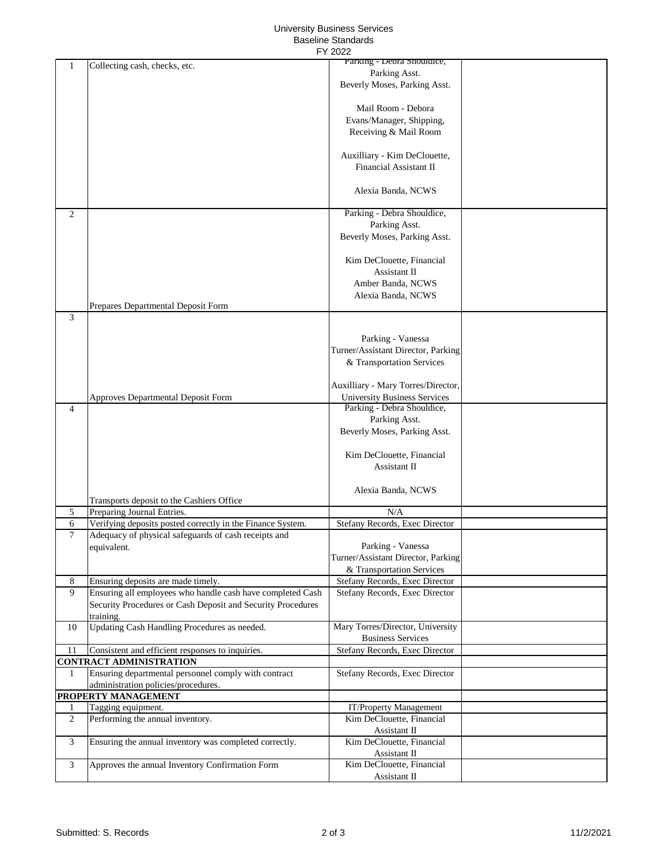## University Business Services Baseline Standards

|                     | FY 2022                                                             |                                                            |  |  |  |  |
|---------------------|---------------------------------------------------------------------|------------------------------------------------------------|--|--|--|--|
| 1                   | Collecting cash, checks, etc.                                       | Parking - Debra Shouldice,                                 |  |  |  |  |
|                     |                                                                     | Parking Asst.                                              |  |  |  |  |
|                     |                                                                     | Beverly Moses, Parking Asst.                               |  |  |  |  |
|                     |                                                                     | Mail Room - Debora                                         |  |  |  |  |
|                     |                                                                     | Evans/Manager, Shipping,                                   |  |  |  |  |
|                     |                                                                     | Receiving & Mail Room                                      |  |  |  |  |
|                     |                                                                     |                                                            |  |  |  |  |
|                     |                                                                     | Auxilliary - Kim DeClouette,                               |  |  |  |  |
|                     |                                                                     | Financial Assistant II                                     |  |  |  |  |
|                     |                                                                     |                                                            |  |  |  |  |
|                     |                                                                     | Alexia Banda, NCWS                                         |  |  |  |  |
|                     |                                                                     |                                                            |  |  |  |  |
| 2                   |                                                                     | Parking - Debra Shouldice,                                 |  |  |  |  |
|                     |                                                                     | Parking Asst.<br>Beverly Moses, Parking Asst.              |  |  |  |  |
|                     |                                                                     |                                                            |  |  |  |  |
|                     |                                                                     | Kim DeClouette, Financial                                  |  |  |  |  |
|                     |                                                                     | Assistant II                                               |  |  |  |  |
|                     |                                                                     | Amber Banda, NCWS                                          |  |  |  |  |
|                     |                                                                     | Alexia Banda, NCWS                                         |  |  |  |  |
|                     | Prepares Departmental Deposit Form                                  |                                                            |  |  |  |  |
| 3                   |                                                                     |                                                            |  |  |  |  |
|                     |                                                                     | Parking - Vanessa                                          |  |  |  |  |
|                     |                                                                     | Turner/Assistant Director, Parking                         |  |  |  |  |
|                     |                                                                     | & Transportation Services                                  |  |  |  |  |
|                     |                                                                     |                                                            |  |  |  |  |
|                     |                                                                     | Auxilliary - Mary Torres/Director,                         |  |  |  |  |
|                     | Approves Departmental Deposit Form                                  | <b>University Business Services</b>                        |  |  |  |  |
| 4                   |                                                                     | Parking - Debra Shouldice,                                 |  |  |  |  |
|                     |                                                                     | Parking Asst.                                              |  |  |  |  |
|                     |                                                                     | Beverly Moses, Parking Asst.                               |  |  |  |  |
|                     |                                                                     | Kim DeClouette, Financial                                  |  |  |  |  |
|                     |                                                                     | Assistant II                                               |  |  |  |  |
|                     |                                                                     |                                                            |  |  |  |  |
|                     |                                                                     | Alexia Banda, NCWS                                         |  |  |  |  |
|                     | Transports deposit to the Cashiers Office                           |                                                            |  |  |  |  |
| 5                   | Preparing Journal Entries.                                          | N/A                                                        |  |  |  |  |
| 6                   | Verifying deposits posted correctly in the Finance System.          | Stefany Records, Exec Director                             |  |  |  |  |
| 7                   | Adequacy of physical safeguards of cash receipts and<br>equivalent. | Parking - Vanessa                                          |  |  |  |  |
|                     |                                                                     | Turner/Assistant Director, Parking                         |  |  |  |  |
|                     |                                                                     | & Transportation Services                                  |  |  |  |  |
| 8                   | Ensuring deposits are made timely.                                  | Stefany Records, Exec Director                             |  |  |  |  |
| 9                   | Ensuring all employees who handle cash have completed Cash          | Stefany Records, Exec Director                             |  |  |  |  |
|                     | Security Procedures or Cash Deposit and Security Procedures         |                                                            |  |  |  |  |
|                     | training.                                                           |                                                            |  |  |  |  |
| 10                  | Updating Cash Handling Procedures as needed.                        | Mary Torres/Director, University                           |  |  |  |  |
| 11                  | Consistent and efficient responses to inquiries.                    | <b>Business Services</b><br>Stefany Records, Exec Director |  |  |  |  |
|                     | <b>CONTRACT ADMINISTRATION</b>                                      |                                                            |  |  |  |  |
| 1                   | Ensuring departmental personnel comply with contract                | Stefany Records, Exec Director                             |  |  |  |  |
|                     | administration policies/procedures.                                 |                                                            |  |  |  |  |
| PROPERTY MANAGEMENT |                                                                     |                                                            |  |  |  |  |
| 1                   | Tagging equipment.                                                  | IT/Property Management                                     |  |  |  |  |
| $\overline{2}$      | Performing the annual inventory.                                    | Kim DeClouette, Financial                                  |  |  |  |  |
|                     |                                                                     | Assistant II                                               |  |  |  |  |
| 3                   | Ensuring the annual inventory was completed correctly.              | Kim DeClouette, Financial                                  |  |  |  |  |
| 3                   | Approves the annual Inventory Confirmation Form                     | Assistant II<br>Kim DeClouette, Financial                  |  |  |  |  |
|                     |                                                                     | Assistant II                                               |  |  |  |  |
|                     |                                                                     |                                                            |  |  |  |  |